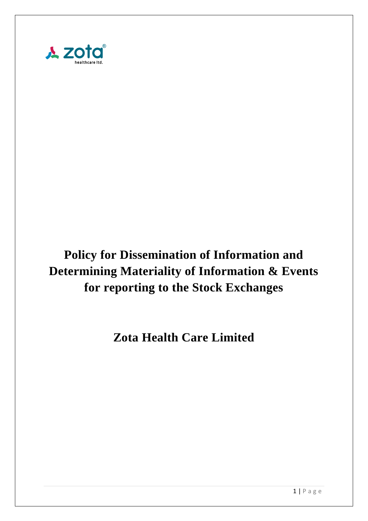

# **Policy for Dissemination of Information and Determining Materiality of Information & Events for reporting to the Stock Exchanges**

**Zota Health Care Limited**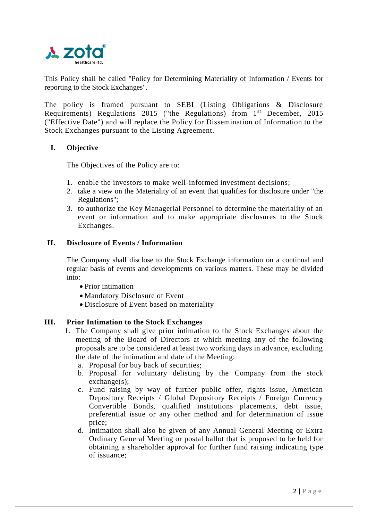

This Policy shall be called "Policy for Determining Materiality of Information / Events for reporting to the Stock Exchanges".

The policy is framed pursuant to SEBI (Listing Obligations & Disclosure Requirements) Regulations 2015 ("the Regulations) from 1st December, 2015 ("Effective Date") and will replace the Policy for Dissemination of Information to the Stock Exchanges pursuant to the Listing Agreement.

# **I. Objective**

The Objectives of the Policy are to:

- 1. enable the investors to make well-informed investment decisions;
- 2. take a view on the Materiality of an event that qualifies for disclosure under "the Regulations";
- 3. to authorize the Key Managerial Personnel to determine the materiality of an event or information and to make appropriate disclosures to the Stock Exchanges.

### **II. Disclosure of Events / Information**

The Company shall disclose to the Stock Exchange information on a continual and regular basis of events and developments on various matters. These may be divided into:

- Prior intimation
- Mandatory Disclosure of Event
- Disclosure of Event based on materiality

### **III. Prior Intimation to the Stock Exchanges**

- 1. The Company shall give prior intimation to the Stock Exchanges about the meeting of the Board of Directors at which meeting any of the following proposals are to be considered at least two working days in advance, excluding the date of the intimation and date of the Meeting:
	- a. Proposal for buy back of securities;
	- b. Proposal for voluntary delisting by the Company from the stock exchange(s);
	- c. Fund raising by way of further public offer, rights issue, American Depository Receipts / Global Depository Receipts / Foreign Currency Convertible Bonds, qualified institutions placements, debt issue, preferential issue or any other method and for determination of issue price;
	- d. Intimation shall also be given of any Annual General Meeting or Extra Ordinary General Meeting or postal ballot that is proposed to be held for obtaining a shareholder approval for further fund raising indicating type of issuance;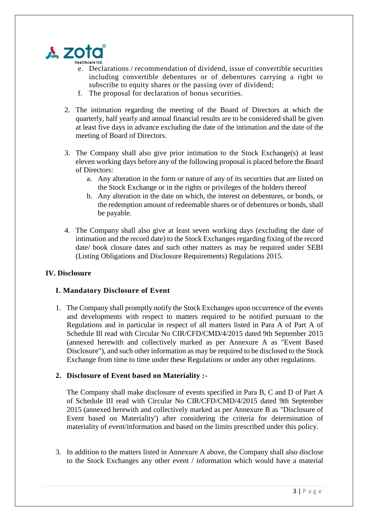

- e. Declarations / recommendation of dividend, issue of convertible securities including convertible debentures or of debentures carrying a right to subscribe to equity shares or the passing over of dividend:
- f. The proposal for declaration of bonus securities.
- 2. The intimation regarding the meeting of the Board of Directors at which the quarterly, half yearly and annual financial results are to be considered shall be given at least five days in advance excluding the date of the intimation and the date of the meeting of Board of Directors.
- 3. The Company shall also give prior intimation to the Stock Exchange(s) at least eleven working days before any of the following proposal is placed before the Board of Directors:
	- a. Any alteration in the form or nature of any of its securities that are listed on the Stock Exchange or in the rights or privileges of the holders thereof
	- b. Any alteration in the date on which, the interest on debentures, or bonds, or the redemption amount of redeemable shares or of debentures or bonds, shall be payable.
- 4. The Company shall also give at least seven working days (excluding the date of intimation and the record date) to the Stock Exchanges regarding fixing of the record date/ book closure dates and such other matters as may be required under SEBI (Listing Obligations and Disclosure Requirements) Regulations 2015.

# **IV. Disclosure**

# **I. Mandatory Disclosure of Event**

1. The Company shall promptly notify the Stock Exchanges upon occurrence of the events and developments with respect to matters required to be notified pursuant to the Regulations and in particular in respect of all matters listed in Para A of Part A of Schedule Ill read with Circular No CIR/CFD/CMD/4/2015 dated 9th September 2015 (annexed herewith and collectively marked as per Annexure A as "Event Based Disclosure"), and such other information as may be required to be disclosed to the Stock Exchange from time to time under these Regulations or under any other regulations.

### **2. Disclosure of Event based on Materiality :-**

The Company shall make disclosure of events specified in Para B, C and D of Part A of Schedule III read with Circular No CIR/CFD/CMD/4/2015 dated 9th September 2015 (annexed herewith and collectively marked as per Annexure B as "Disclosure of Event based on Materiality') after considering the criteria for determination of materiality of event/information and based on the limits prescribed under this policy.

3. In addition to the matters listed in Annexure A above, the Company shall also disclose to the Stock Exchanges any other event / information which would have a material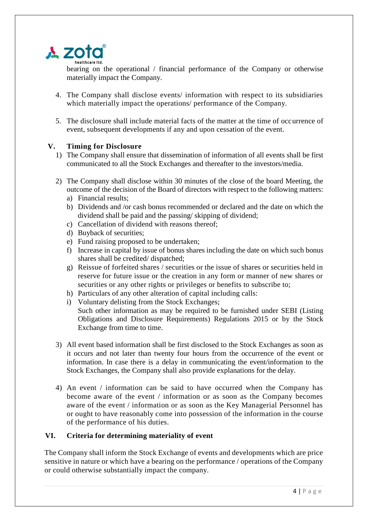

bearing on the operational / financial performance of the Company or otherwise materially impact the Company.

- 4. The Company shall disclose events/ information with respect to its subsidiaries which materially impact the operations/ performance of the Company.
- 5. The disclosure shall include material facts of the matter at the time of occurrence of event, subsequent developments if any and upon cessation of the event.

# **V. Timing for Disclosure**

- 1) The Company shall ensure that dissemination of information of all events shall be first communicated to all the Stock Exchanges and thereafter to the investors/media.
- 2) The Company shall disclose within 30 minutes of the close of the board Meeting, the outcome of the decision of the Board of directors with respect to the following matters:
	- a) Financial results;
	- b) Dividends and /or cash bonus recommended or declared and the date on which the dividend shall be paid and the passing/ skipping of dividend;
	- c) Cancellation of dividend with reasons thereof;
	- d) Buyback of securities;
	- e) Fund raising proposed to be undertaken;
	- f) Increase in capital by issue of bonus shares including the date on which such bonus shares shall be credited/ dispatched;
	- g) Reissue of forfeited shares / securities or the issue of shares or securities held in reserve for future issue or the creation in any form or manner of new shares or securities or any other rights or privileges or benefits to subscribe to;
	- h) Particulars of any other alteration of capital including calls:
	- i) Voluntary delisting from the Stock Exchanges; Such other information as may be required to be furnished under SEBI (Listing Obligations and Disclosure Requirements) Regulations 2015 or by the Stock Exchange from time to time.
- 3) All event based information shall be first disclosed to the Stock Exchanges as soon as it occurs and not later than twenty four hours from the occurrence of the event or information. In case there is a delay in communicating the event/information to the Stock Exchanges, the Company shall also provide explanations for the delay.
- 4) An event / information can be said to have occurred when the Company has become aware of the event / information or as soon as the Company becomes aware of the event / information or as soon as the Key Managerial Personnel has or ought to have reasonably come into possession of the information in the course of the performance of his duties.

# **VI. Criteria for determining materiality of event**

The Company shall inform the Stock Exchange of events and developments which are price sensitive in nature or which have a bearing on the performance / operations of the Company or could otherwise substantially impact the company.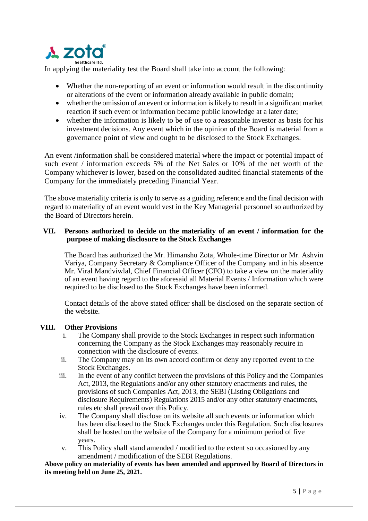# **A zota**

In applying the materiality test the Board shall take into account the following:

- Whether the non-reporting of an event or information would result in the discontinuity or alterations of the event or information already available in public domain;
- whether the omission of an event or information is likely to result in a significant market reaction if such event or information became public knowledge at a later date;
- whether the information is likely to be of use to a reasonable investor as basis for his investment decisions. Any event which in the opinion of the Board is material from a governance point of view and ought to be disclosed to the Stock Exchanges.

An event /information shall be considered material where the impact or potential impact of such event / information exceeds 5% of the Net Sales or 10% of the net worth of the Company whichever is lower, based on the consolidated audited financial statements of the Company for the immediately preceding Financial Year.

The above materiality criteria is only to serve as a guiding reference and the final decision with regard to materiality of an event would vest in the Key Managerial personnel so authorized by the Board of Directors herein.

### **VII. Persons authorized to decide on the materiality of an event / information for the purpose of making disclosure to the Stock Exchanges**

The Board has authorized the Mr. Himanshu Zota, Whole-time Director or Mr. Ashvin Variya, Company Secretary & Compliance Officer of the Company and in his absence Mr. Viral Mandviwlal, Chief Financial Officer (CFO) to take a view on the materiality of an event having regard to the aforesaid all Material Events / Information which were required to be disclosed to the Stock Exchanges have been informed.

Contact details of the above stated officer shall be disclosed on the separate section of the website.

# **VIII. Other Provisions**

- i. The Company shall provide to the Stock Exchanges in respect such information concerning the Company as the Stock Exchanges may reasonably require in connection with the disclosure of events.
- ii. The Company may on its own accord confirm or deny any reported event to the Stock Exchanges.
- iii. In the event of any conflict between the provisions of this Policy and the Companies Act, 2013, the Regulations and/or any other statutory enactments and rules, the provisions of such Companies Act, 2013, the SEBI (Listing Obligations and disclosure Requirements) Regulations 2015 and/or any other statutory enactments, rules etc shall prevail over this Policy.
- iv. The Company shall disclose on its website all such events or information which has been disclosed to the Stock Exchanges under this Regulation. Such disclosures shall be hosted on the website of the Company for a minimum period of five years.
- v. This Policy shall stand amended / modified to the extent so occasioned by any amendment / modification of the SEBI Regulations.

**Above policy on materiality of events has been amended and approved by Board of Directors in its meeting held on June 25, 2021.**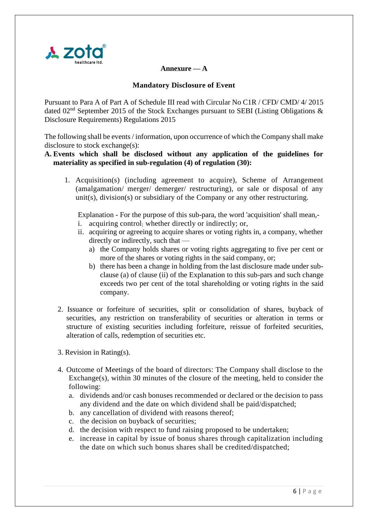

### **Annexure — A**

### **Mandatory Disclosure of Event**

Pursuant to Para A of Part A of Schedule III read with Circular No C1R / CFD/ CMD/ 4/ 2015 dated 02<sup>nd</sup> September 2015 of the Stock Exchanges pursuant to SEBI (Listing Obligations  $\&$ Disclosure Requirements) Regulations 2015

The following shall be events / information, upon occurrence of which the Company shall make disclosure to stock exchange(s):

### **A. Events which shall be disclosed without any application of the guidelines for materiality as specified in sub-regulation (4) of regulation (30):**

1. Acquisition(s) (including agreement to acquire), Scheme of Arrangement (amalgamation/ merger/ demerger/ restructuring), or sale or disposal of any unit(s), division(s) or subsidiary of the Company or any other restructuring.

Explanation - For the purpose of this sub-para, the word 'acquisition' shall mean,-

- i. acquiring control; whether directly or indirectly; or,
- ii. acquiring or agreeing to acquire shares or voting rights in, a company, whether directly or indirectly, such that
	- a) the Company holds shares or voting rights aggregating to five per cent or more of the shares or voting rights in the said company, or;
	- b) there has been a change in holding from the last disclosure made under subclause (a) of clause (ii) of the Explanation to this sub-pars and such change exceeds two per cent of the total shareholding or voting rights in the said company.
- 2. Issuance or forfeiture of securities, split or consolidation of shares, buyback of securities, any restriction on transferability of securities or alteration in terms or structure of existing securities including forfeiture, reissue of forfeited securities, alteration of calls, redemption of securities etc.
- 3. Revision in Rating(s).
- 4. Outcome of Meetings of the board of directors: The Company shall disclose to the Exchange(s), within 30 minutes of the closure of the meeting, held to consider the following:
	- a. dividends and/or cash bonuses recommended or declared or the decision to pass any dividend and the date on which dividend shall be paid/dispatched;
	- b. any cancellation of dividend with reasons thereof;
	- c. the decision on buyback of securities;
	- d. the decision with respect to fund raising proposed to be undertaken;
	- e. increase in capital by issue of bonus shares through capitalization including the date on which such bonus shares shall be credited/dispatched;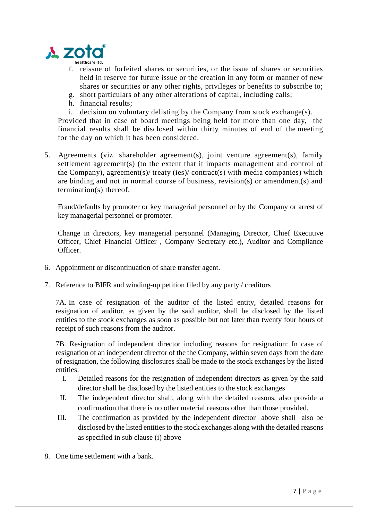

- f. reissue of forfeited shares or securities, or the issue of shares or securities held in reserve for future issue or the creation in any form or manner of new shares or securities or any other rights, privileges or benefits to subscribe to;
- g. short particulars of any other alterations of capital, including calls;
- h. financial results;
- i. decision on voluntary delisting by the Company from stock exchange(s).

Provided that in case of board meetings being held for more than one day, the financial results shall be disclosed within thirty minutes of end of the meeting for the day on which it has been considered.

5. Agreements (viz. shareholder agreement(s), joint venture agreement(s), family settlement agreement(s) (to the extent that it impacts management and control of the Company), agreement(s)/ treaty (ies)/ contract(s) with media companies) which are binding and not in normal course of business, revision(s) or amendment(s) and termination(s) thereof.

Fraud/defaults by promoter or key managerial personnel or by the Company or arrest of key managerial personnel or promoter.

Change in directors, key managerial personnel (Managing Director, Chief Executive Officer, Chief Financial Officer , Company Secretary etc.), Auditor and Compliance Officer.

- 6. Appointment or discontinuation of share transfer agent.
- 7. Reference to BIFR and winding-up petition filed by any party / creditors

7A. In case of resignation of the auditor of the listed entity, detailed reasons for resignation of auditor, as given by the said auditor, shall be disclosed by the listed entities to the stock exchanges as soon as possible but not later than twenty four hours of receipt of such reasons from the auditor.

7B. Resignation of independent director including reasons for resignation: In case of resignation of an independent director of the the Company, within seven days from the date of resignation, the following disclosures shall be made to the stock exchanges by the listed entities:

- I. Detailed reasons for the resignation of independent directors as given by the said director shall be disclosed by the listed entities to the stock exchanges
- II. The independent director shall, along with the detailed reasons, also provide a confirmation that there is no other material reasons other than those provided.
- III. The confirmation as provided by the independent director above shall also be disclosed by the listed entities to the stock exchanges along with the detailed reasons as specified in sub clause (i) above
- 8. One time settlement with a bank.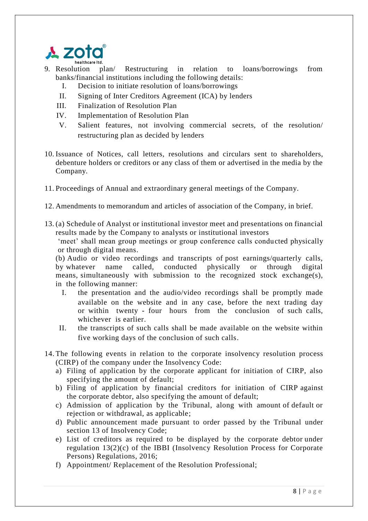

- 9. Resolution plan/ Restructuring in relation to loans/borrowings from banks/financial institutions including the following details:
	- I. Decision to initiate resolution of loans/borrowings
	- II. Signing of Inter Creditors Agreement (ICA) by lenders
	- III. Finalization of Resolution Plan
	- IV. Implementation of Resolution Plan
	- V. Salient features, not involving commercial secrets, of the resolution/ restructuring plan as decided by lenders
- 10. Issuance of Notices, call letters, resolutions and circulars sent to shareholders, debenture holders or creditors or any class of them or advertised in the media by the Company.
- 11. Proceedings of Annual and extraordinary general meetings of the Company.
- 12. Amendments to memorandum and articles of association of the Company, in brief.
- 13. (a) Schedule of Analyst or institutional investor meet and presentations on financial results made by the Company to analysts or institutional investors

'meet' shall mean group meetings or group conference calls conducted physically or through digital means.

(b) Audio or video recordings and transcripts of post earnings/quarterly calls, by whatever name called, conducted physically or through digital means, simultaneously with submission to the recognized stock exchange(s), in the following manner:

- I. the presentation and the audio/video recordings shall be promptly made available on the website and in any case, before the next trading day or within twenty - four hours from the conclusion of such calls, whichever is earlier.
- II. the transcripts of such calls shall be made available on the website within five working days of the conclusion of such calls.
- 14. The following events in relation to the corporate insolvency resolution process (CIRP) of the company under the Insolvency Code:
	- a) Filing of application by the corporate applicant for initiation of CIRP, also specifying the amount of default;
	- b) Filing of application by financial creditors for initiation of CIRP against the corporate debtor, also specifying the amount of default;
	- c) Admission of application by the Tribunal, along with amount of default or rejection or withdrawal, as applicable;
	- d) Public announcement made pursuant to order passed by the Tribunal under section 13 of Insolvency Code;
	- e) List of creditors as required to be displayed by the corporate debtor under regulation 13(2)(c) of the IBBI (Insolvency Resolution Process for Corporate Persons) Regulations, 2016;
	- f) Appointment/ Replacement of the Resolution Professional;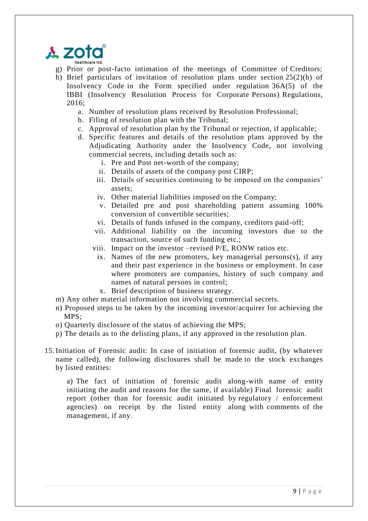

- g) Prior or post-facto intimation of the meetings of Committee of Creditors;
- h) Brief particulars of invitation of resolution plans under section 25(2)(h) of Insolvency Code in the Form specified under regulation 36A(5) of the IBBI (Insolvency Resolution Process for Corporate Persons) Regulations,  $2016$ 
	- a. Number of resolution plans received by Resolution Professional;
	- b. Filing of resolution plan with the Tribunal;
	- c. Approval of resolution plan by the Tribunal or rejection, if applicable;
	- d. Specific features and details of the resolution plans approved by the Adjudicating Authority under the Insolvency Code, not involving commercial secrets, including details such as:
		- i. Pre and Post net-worth of the company;
		- ii. Details of assets of the company post CIRP;
		- iii. Details of securities continuing to be imposed on the companies' assets;
		- iv. Other material liabilities imposed on the Company;
		- v. Detailed pre and post shareholding pattern assuming 100% conversion of convertible securities;
		- vi. Details of funds infused in the company, creditors paid-off;
		- vii. Additional liability on the incoming investors due to the transaction, source of such funding etc.;
		- viii. Impact on the investor –revised P/E, RONW ratios etc.
		- ix. Names of the new promoters, key managerial persons(s), if any and their past experience in the business or employment. In case where promoters are companies, history of such company and names of natural persons in control;
			- x. Brief description of business strategy.
- m) Any other material information not involving commercial secrets.
- n) Proposed steps to be taken by the incoming investor/acquirer for achieving the MPS;
- o) Quarterly disclosure of the status of achieving the MPS;
- p) The details as to the delisting plans, if any approved in the resolution plan.
- 15. Initiation of Forensic audit: In case of initiation of forensic audit, (by whatever name called), the following disclosures shall be made to the stock exchanges by listed entities:

a) The fact of initiation of forensic audit along-with name of entity initiating the audit and reasons for the same, if available) Final forensic audit report (other than for forensic audit initiated by regulatory / enforcement agencies) on receipt by the listed entity along with comments of the management, if any.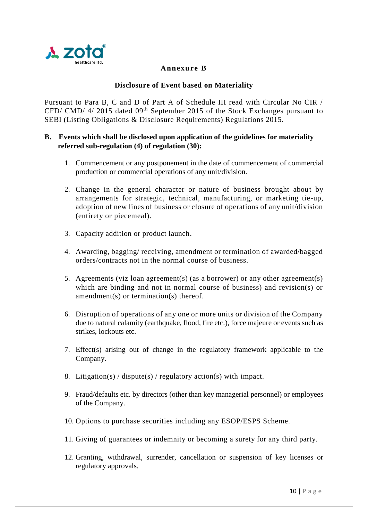

# **Annexure B**

### **Disclosure of Event based on Materiality**

Pursuant to Para B, C and D of Part A of Schedule III read with Circular No CIR / CFD/ CMD/ 4/ 2015 dated 09<sup>th</sup> September 2015 of the Stock Exchanges pursuant to SEBI (Listing Obligations & Disclosure Requirements) Regulations 2015.

### **B. Events which shall be disclosed upon application of the guidelines for materiality referred sub-regulation (4) of regulation (30):**

- 1. Commencement or any postponement in the date of commencement of commercial production or commercial operations of any unit/division.
- 2. Change in the general character or nature of business brought about by arrangements for strategic, technical, manufacturing, or marketing tie-up, adoption of new lines of business or closure of operations of any unit/division (entirety or piecemeal).
- 3. Capacity addition or product launch.
- 4. Awarding, bagging/ receiving, amendment or termination of awarded/bagged orders/contracts not in the normal course of business.
- 5. Agreements (viz loan agreement(s) (as a borrower) or any other agreement(s) which are binding and not in normal course of business) and revision(s) or amendment(s) or termination(s) thereof.
- 6. Disruption of operations of any one or more units or division of the Company due to natural calamity (earthquake, flood, fire etc.), force majeure or events such as strikes, lockouts etc.
- 7. Effect(s) arising out of change in the regulatory framework applicable to the Company.
- 8. Litigation(s) / dispute(s) / regulatory action(s) with impact.
- 9. Fraud/defaults etc. by directors (other than key managerial personnel) or employees of the Company.
- 10. Options to purchase securities including any ESOP/ESPS Scheme.
- 11. Giving of guarantees or indemnity or becoming a surety for any third party.
- 12. Granting, withdrawal, surrender, cancellation or suspension of key licenses or regulatory approvals.